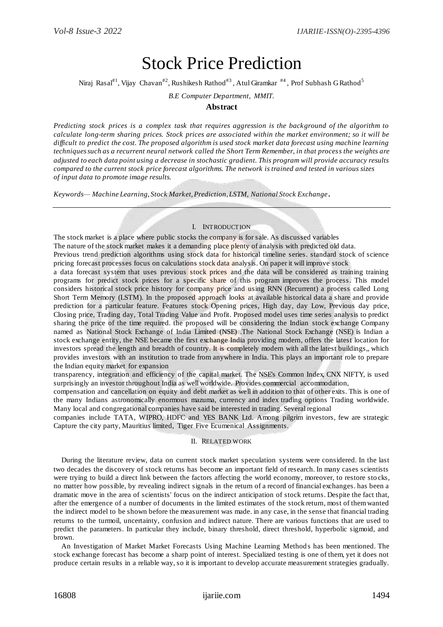# Stock Price Prediction

Niraj Rasal $^{\sharp1}$ , Vijay Chavan $^{\sharp2}$ , Rushikesh Rathod $^{\sharp3}$ , Atul Giramkar  $^{\sharp4}$ , Prof Subhash G Rathod $^5$ 

*B.E Computer Department, MMIT.*

## **Abstract**

*Predicting stock prices is a complex task that requires aggression is the background of the algorithm to calculate long-term sharing prices. Stock prices are associated within the market environment; so it will be difficult to predict the cost. The proposed algorithm is used stock market data forecast using machine learning techniques such as a recurrent neural network called the Short Term Remember, in that process the weights are adjusted to each data point using a decrease in stochastic gradient. This program will provide accuracy results compared to the current stock price forecast algorithms. The network is trained and tested in various sizes of input data to promote image results.*

*Keywords— Machine Learning, Stock Market, Prediction, LSTM, National Stock Exchange* **.**

## I. INTRODUCTION

The stock market is a place where public stocks the company is for sale. As discussed variables The nature of the stock market makes it a demanding place plenty of analysis with predicted old data. Previous trend prediction algorithms using stock data for historical timeline series. standard stock of science

pricing forecast processes focus on calculations stock data analysis. On paper it will improve stock

a data forecast system that uses previous stock prices and the data will be considered as training training programs for predict stock prices for a specific share of this program improves the process. This model considers historical stock price history for company price and using RNN (Recurrent) a process called Long Short Term Memory (LSTM). In the proposed approach looks at available historical data a share and provide prediction for a particular feature. Features stock Opening prices, High day, day Low, Previous day price, Closing price, Trading day, Total Trading Value and Profit. Proposed model uses time series analysis to predict sharing the price of the time required. the proposed will be considering the Indian stock exchange Company named as National Stock Exchange of India Limited (NSE) .The National Stock Exchange (NSE) is Indian a stock exchange entity, the NSE became the first exchange India providing modern, offers the latest location for investors spread the length and breadth of country. It is completely modern with all the latest buildings,, which provides investors with an institution to trade from anywhere in India. This plays an important role to prepare the Indian equity market for expansion

transparency, integration and efficiency of the capital market. The NSE's Common Index, CNX NIFTY, is used surprisingly an investor throughout India as well worldwide. Provides commercial accommodation,

compensation and cancellation on equity and debt market as well in addition to that of other exits. This is one of the many Indians astronomically enormous mazuma, currency and index trading options Trading worldwide. Many local and congregational companies have said be interested in trading. Several regional

companies include TATA, WIPRO, HDFC and YES BANK Ltd. Among pilgrim investors, few are strategic Capture the city party, Mauritius limited, Tiger Five Ecumenical Assignments.

## II. RELATED WORK

During the literature review, data on current stock market speculation systems were considered. In the last two decades the discovery of stock returns has become an important field of research. In many cases scientists were trying to build a direct link between the factors affecting the world economy, moreover, to restore sto cks, no matter how possible, by revealing indirect signals in the return of a record of financial exchanges. has been a dramatic move in the area of scientists' focus on the indirect anticipation of stock returns. Despite the fact that, after the emergence of a number of documents in the limited estimates of the stock return, most of them wanted the indirect model to be shown before the measurement was made. in any case, in the sense that financial trading returns to the turmoil, uncertainty, confusion and indirect nature. There are various functions that are used to predict the parameters. In particular they include, binary threshold, direct threshold, hyperbolic sigmoid, and brown.

An Investigation of Market Market Forecasts Using Machine Learning Methods has been mentioned. The stock exchange forecast has become a sharp point of interest. Specialized testing is one of them, yet it does not produce certain results in a reliable way, so it is important to develop accurate measurement strategies gradually.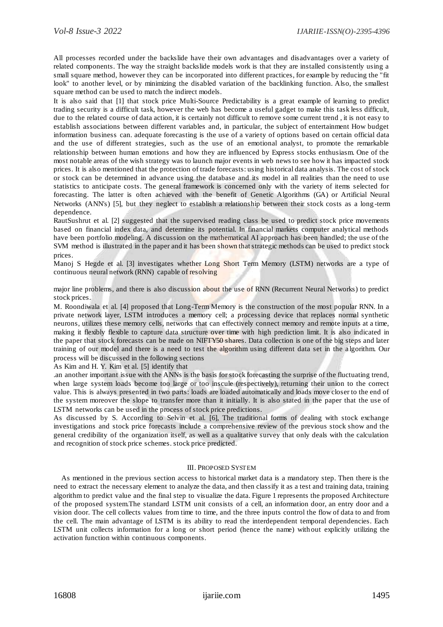All processes recorded under the backslide have their own advantages and disadvantages over a variety of related components. The way the straight backslide models work is that they are installed consistently using a small square method, however they can be incorporated into different practices, for example by reducing the "fit look" to another level, or by minimizing the disabled variation of the backlinking function. Also, the smallest square method can be used to match the indirect models.

It is also said that [1] that stock price Multi-Source Predictability is a great example of learning to predict trading security is a difficult task, however the web has become a useful gadget to make this task less difficult, due to the related course of data action, it is certainly not difficult to remove some current trend , it is not easy to establish associations between different variables and, in particular, the subject of entertainment How budget information business can. adequate forecasting is the use of a variety of options based on certain official data and the use of different strategies, such as the use of an emotional analyst, to promote the remarkable relationship between human emotions and how they are influenced by Express stocks enthusiasm. One of the most notable areas of the wish strategy was to launch major events in web news to see how it has impacted stock prices. It is also mentioned that the protection of trade forecasts: using historical data analysis. The cost of stock or stock can be determined in advance using the database and its model in all realities than the need to use statistics to anticipate costs. The general framework is concerned only with the variety of items selected for forecasting. The latter is often achieved with the benefit of Genetic Algorithms (GA) or Artificial Neural Networks (ANN's) [5], but they neglect to establish a relationship between their stock costs as a long -term dependence.

RautSushrut et al. [2] suggested that the supervised reading class be used to predict stock price movements based on financial index data, and determine its potential. In financial markets computer analytical methods have been portfolio modeling. A discussion on the mathematical AI approach has been handled; the use of the SVM method is illustrated in the paper and it has been shown that strategic methods can be used to predict stock prices.

Manoj S Hegde et al. [3] investigates whether Long Short Term Memory (LSTM) networks are a type of continuous neural network (RNN) capable of resolving

major line problems, and there is also discussion about the use of RNN (Recurrent Neural Networks) to predict stock prices.

M. Roondiwala et al. [4] proposed that Long-Term Memory is the construction of the most popular RNN. In a private network layer, LSTM introduces a memory cell; a processing device that replaces normal synthetic neurons, utilizes these memory cells, networks that can effectively connect memory and remote inputs at a time, making it flexibly flexible to capture data structure over time with high prediction limit. It is also indicated in the paper that stock forecasts can be made on NIFTY50 shares. Data collection is one of the big steps and later training of our model and there is a need to test the algorithm using different data set in the a lgorithm. Our process will be discussed in the following sections

As Kim and H. Y. Kim et al. [5] identify that

.an another important issue with the ANNs is the basis for stock forecasting the surprise of the fluctuating trend, when large system loads become too large or too inscule (respectively), returning their union to the correct value. This is always presented in two parts: loads are loaded automatically and loads move closer to the end of the system moreover the slope to transfer more than it initially. It is also stated in the paper that the use of LSTM networks can be used in the process of stock price predictions.

As discussed by S. According to Selvin et al. [6], The traditional forms of dealing with stock exchange investigations and stock price forecasts include a comprehensive review of the previous stock show and the general credibility of the organization itself, as well as a qualitative survey that only deals with the calculation and recognition of stock price schemes. stock price predicted.

#### III. PROPOSED SYSTEM

As mentioned in the previous section access to historical market data is a mandatory step. Then there is the need to extract the necessary element to analyze the data, and then classify it as a test and training data, training algorithm to predict value and the final step to visualize the data. Figure 1 represents the proposed Architecture of the proposed system.The standard LSTM unit consists of a cell, an information door, an entry door and a vision door. The cell collects values from time to time, and the three inputs control the flow of data to and from the cell. The main advantage of LSTM is its ability to read the interdependent temporal dependencies. Each LSTM unit collects information for a long or short period (hence the name) with out explicitly utilizing the activation function within continuous components.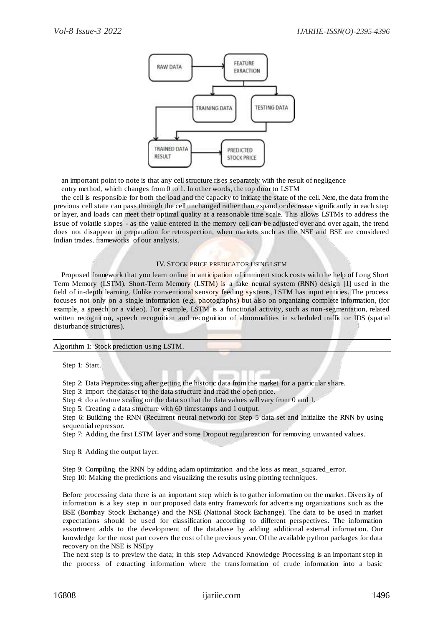

an important point to note is that any cell structure rises separately with the result of negligence entry method, which changes from 0 to 1. In other words, the top door to LSTM

the cell is responsible for both the load and the capacity to initiate the state of the cell. Next, the data from the previous cell state can pass through the cell unchanged rather than expand or decrease significantly in each step or layer, and loads can meet their optimal quality at a reasonable time scale. This allows LSTMs to address the issue of volatile slopes - as the value entered in the memory cell can be adjusted over and over again, the trend does not disappear in preparation for retrospection, when markets such as the NSE and BSE are considered Indian trades. frameworks of our analysis.

### IV. STOCK PRICE PREDICATOR USING LSTM

Proposed framework that you learn online in anticipation of imminent stock costs with the help of Long Short Term Memory (LSTM). Short-Term Memory (LSTM) is a fake neural system (RNN) design [1] used in the field of in-depth learning. Unlike conventional sensory feeding systems, LSTM has input entities. The process focuses not only on a single information (e.g. photographs) but also on organizing complete information, (for example, a speech or a video). For example, LSTM is a functional activity, such as non -segmentation, related written recognition, speech recognition and recognition of abnormalities in scheduled traffic or IDS (spatial disturbance structures).

Algorithm 1: Stock prediction using LSTM.

Step 1: Start.

Step 2: Data Preprocessing after getting the historic data from the market for a particular share.

Step 3: import the dataset to the data structure and read the open price.

Step 4: do a feature scaling on the data so that the data values will vary from 0 and 1.

Step 5: Creating a data structure with 60 timestamps and 1 output.

Step 6: Building the RNN (Recurrent neural network) for Step 5 data set and Initialize the RNN by using sequential repressor.

Step 7: Adding the first LSTM layer and some Dropout regularization for removing unwanted values.

Step 8: Adding the output layer.

Step 9: Compiling the RNN by adding adam optimization and the loss as mean squared error. Step 10: Making the predictions and visualizing the results using plotting techniques.

Before processing data there is an important step which is to gather information on the market. Diversity of information is a key step in our proposed data entry framework for advertising organizations such as the BSE (Bombay Stock Exchange) and the NSE (National Stock Exchange). The data to be used in market expectations should be used for classification according to different perspectives. The information assortment adds to the development of the database by adding additional external information. Our knowledge for the most part covers the cost of the previous year. Of the available python packages for data recovery on the NSE is NSEpy

The next step is to preview the data; in this step Advanced Knowledge Processing is an important step in the process of extracting information where the transformation of crude information into a basic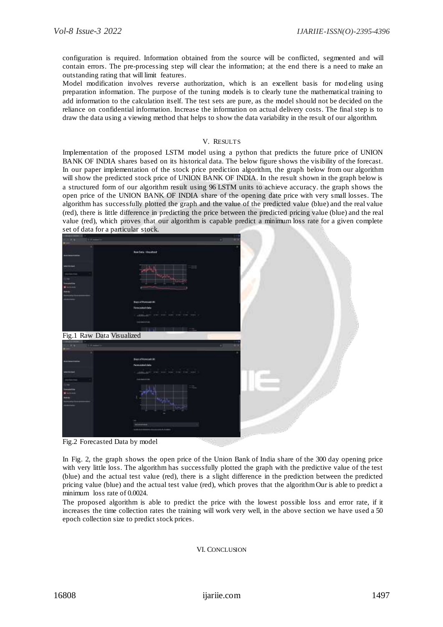configuration is required. Information obtained from the source will be conflicted, segmented and will contain errors. The pre-processing step will clear the information; at the end there is a need to make an outstanding rating that will limit features.

Model modification involves reverse authorization, which is an excellent basis for modeling using preparation information. The purpose of the tuning models is to clearly tune the mathematical training to add information to the calculation itself. The test sets are pure, as the model should not be decided on the reliance on confidential information. Increase the information on actual delivery costs. The final step is to draw the data using a viewing method that helps to show the data variability in the result of our algorithm.

## V. RESULTS

Implementation of the proposed LSTM model using a python that predicts the future price of UNION BANK OF INDIA shares based on its historical data. The below figure shows the visibility of the forecast. In our paper implementation of the stock price prediction algorithm, the graph below from our algorithm will show the predicted stock price of UNION BANK OF INDIA. In the result shown in the graph below is a structured form of our algorithm result using 96 LSTM units to achieve accuracy. the graph shows the open price of the UNION BANK OF INDIA share of the opening date price with very small losses. The algorithm has successfully plotted the graph and the value of the predicted value (blue) and the real value (red), there is little difference in predicting the price between the predicted pricing value (blue) and the real value (red), which proves that our algorithm is capable predict a minimum loss rate for a given complete set of data for a particular stock.

| aan ist a particular stock. |                              |  |
|-----------------------------|------------------------------|--|
|                             |                              |  |
|                             |                              |  |
|                             |                              |  |
|                             | <b>Ren Data - Visualized</b> |  |
|                             |                              |  |
|                             |                              |  |
|                             |                              |  |
|                             |                              |  |
|                             |                              |  |
|                             |                              |  |
|                             |                              |  |
|                             |                              |  |
|                             |                              |  |
|                             |                              |  |
|                             | <b>Separtmental</b>          |  |
|                             |                              |  |
|                             | <b>Fancisched then</b>       |  |
|                             |                              |  |
|                             |                              |  |
|                             |                              |  |
|                             |                              |  |
|                             |                              |  |
| Fig.1 Raw Data Visualized   |                              |  |
|                             |                              |  |
|                             |                              |  |
|                             |                              |  |
|                             |                              |  |
|                             | trentforcatile               |  |
|                             | <b>Tarminded make</b>        |  |
|                             |                              |  |
|                             |                              |  |
|                             |                              |  |
|                             |                              |  |
|                             |                              |  |
|                             |                              |  |
|                             |                              |  |
|                             |                              |  |
|                             |                              |  |
|                             |                              |  |
|                             |                              |  |
|                             |                              |  |
|                             |                              |  |
|                             |                              |  |
|                             |                              |  |
| $\mathbf{r}$                | $\blacksquare$               |  |
|                             |                              |  |

Fig.2 Forecasted Data by model

In Fig. 2, the graph shows the open price of the Union Bank of India share of the 300 day opening price with very little loss. The algorithm has successfully plotted the graph with the predictive value of the test (blue) and the actual test value (red), there is a slight difference in the prediction between the predicted pricing value (blue) and the actual test value (red), which proves that the algorithm Our is able to predict a minimum loss rate of 0.0024.

The proposed algorithm is able to predict the price with the lowest possible loss and error rate, if it increases the time collection rates the training will work very well, in the above section we have used a 50 epoch collection size to predict stock prices.

VI. CONCLUSION